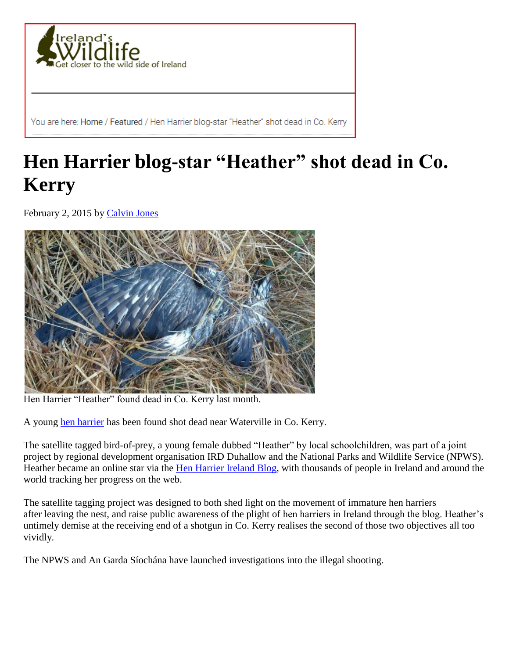

You are here: Home / Featured / Hen Harrier blog-star "Heather" shot dead in Co. Kerry

## **Hen Harrier blog-star "Heather" shot dead in Co. Kerry**

February 2, 2015 by [Calvin Jones](https://www.irelandswildlife.com/author/calvin/)



Hen Harrier "Heather" found dead in Co. Kerry last month.

A young [hen harrier](https://www.irelandswildlife.com/hen-harrier-circus-cyaneus/) has been found shot dead near Waterville in Co. Kerry.

The satellite tagged bird-of-prey, a young female dubbed "Heather" by local schoolchildren, was part of a joint project by regional development organisation IRD Duhallow and the National Parks and Wildlife Service (NPWS). Heather became an online star via the [Hen Harrier Ireland Blog,](http://henharrierireland.blogspot.ie/) with thousands of people in Ireland and around the world tracking her progress on the web.

The satellite tagging project was designed to both shed light on the movement of immature hen harriers after leaving the nest, and raise public awareness of the plight of hen harriers in Ireland through the blog. Heather's untimely demise at the receiving end of a shotgun in Co. Kerry realises the second of those two objectives all too vividly.

The NPWS and An Garda Síochána have launched investigations into the illegal shooting.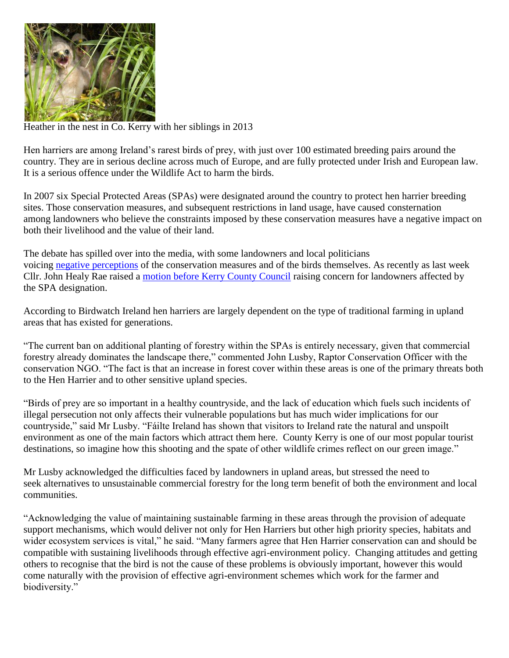

Heather in the nest in Co. Kerry with her siblings in 2013

Hen harriers are among Ireland's rarest birds of prey, with just over 100 estimated breeding pairs around the country. They are in serious decline across much of Europe, and are fully protected under Irish and European law. It is a serious offence under the Wildlife Act to harm the birds.

In 2007 six Special Protected Areas (SPAs) were designated around the country to protect hen harrier breeding sites. Those conservation measures, and subsequent restrictions in land usage, have caused consternation among landowners who believe the constraints imposed by these conservation measures have a negative impact on both their livelihood and the value of their land.

The debate has spilled over into the media, with some landowners and local politicians voicing negative [perceptions](https://www.irelandswildlife.com/leader-of-limerick-county-council-calls-open-season-on-endangered-hen-harrier/) of the conservation measures and of the birds themselves. As recently as last week Cllr. John Healy Rae raised a [motion before Kerry County Council](http://www.radiokerry.ie/news/councillors-raise-concern-for-landowners-adversely-affected-by-hen-harrier-conservation-rules/) raising concern for landowners affected by the SPA designation.

According to Birdwatch Ireland hen harriers are largely dependent on the type of traditional farming in upland areas that has existed for generations.

"The current ban on additional planting of forestry within the SPAs is entirely necessary, given that commercial forestry already dominates the landscape there," commented John Lusby, Raptor Conservation Officer with the conservation NGO. "The fact is that an increase in forest cover within these areas is one of the primary threats both to the Hen Harrier and to other sensitive upland species.

"Birds of prey are so important in a healthy countryside, and the lack of education which fuels such incidents of illegal persecution not only affects their vulnerable populations but has much wider implications for our countryside," said Mr Lusby. "Fáilte Ireland has shown that visitors to Ireland rate the natural and unspoilt environment as one of the main factors which attract them here. County Kerry is one of our most popular tourist destinations, so imagine how this shooting and the spate of other wildlife crimes reflect on our green image."

Mr Lusby acknowledged the difficulties faced by landowners in upland areas, but stressed the need to seek alternatives to unsustainable commercial forestry for the long term benefit of both the environment and local communities.

"Acknowledging the value of maintaining sustainable farming in these areas through the provision of adequate support mechanisms, which would deliver not only for Hen Harriers but other high priority species, habitats and wider ecosystem services is vital," he said. "Many farmers agree that Hen Harrier conservation can and should be compatible with sustaining livelihoods through effective agri-environment policy. Changing attitudes and getting others to recognise that the bird is not the cause of these problems is obviously important, however this would come naturally with the provision of effective agri-environment schemes which work for the farmer and biodiversity."